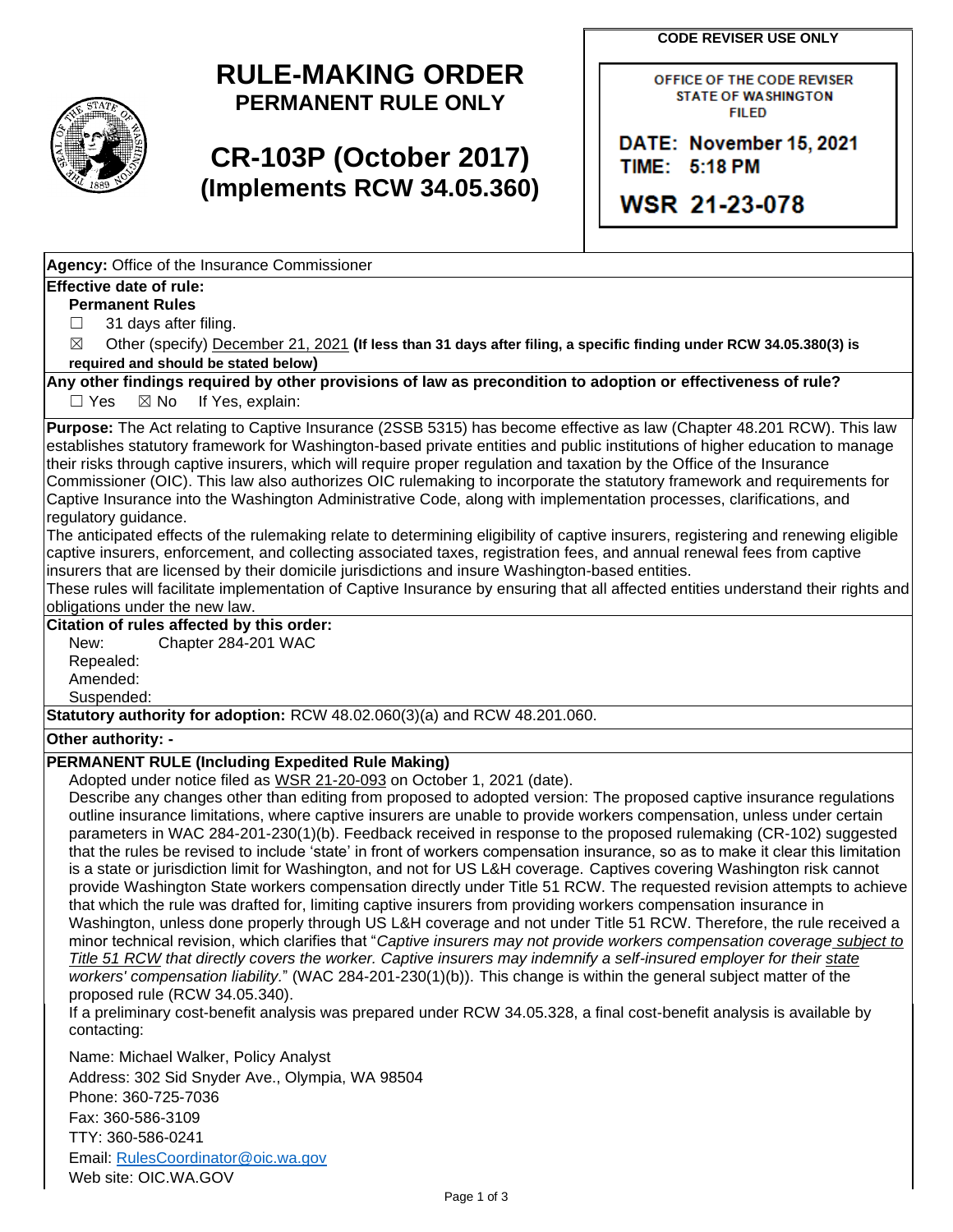**CODE REVISER USE ONLY** 

## **RULE-MAKING ORDER PERMANENT RULE ONLY**

# **CR-103P (October 2017) (Implements RCW 34.05.360)**

OFFICE OF THE CODE REVISER STATE OF WASHINGTON FIILED

**DATE: November 15, 2021 TIME:** 5,:118 **PM** 

**WSR 21-23-078** 

**Agency:** Office of the Insurance Commissioner

### **Effective date of rule:**

**Permanent Rules** 

 $\Box$ 31 days after filing.

 $\boxtimes$ ☒ Other (specify) December 21, 2021 **(If less than 31 days after filing, a specific finding under RCW 34.05.380(3) is required and should be stated below)** 

**Any other findings required by other provisions of law as precondition to adoption or effectiveness of rule?** 

 $\Box$  Yes  $\boxtimes$  No If Yes, explain:

 Captive Insurance into the Washington Administrative Code, along with implementation processes, clarifications, and **Purpose:** The Act relating to Captive Insurance (2SSB 5315) has become effective as law (Chapter 48.201 RCW). This law establishes statutory framework for Washington-based private entities and public institutions of higher education to manage their risks through captive insurers, which will require proper regulation and taxation by the Office of the Insurance Commissioner (OIC). This law also authorizes OIC rulemaking to incorporate the statutory framework and requirements for regulatory guidance.

The anticipated effects of the rulemaking relate to determining eligibility of captive insurers, registering and renewing eligible captive insurers, enforcement, and collecting associated taxes, registration fees, and annual renewal fees from captive insurers that are licensed by their domicile jurisdictions and insure Washington-based entities.

 These rules will facilitate implementation of Captive Insurance by ensuring that all affected entities understand their rights and obligations under the new law.

## **Citation of rules affected by this order:**

New: Chapter 284-201 WAC

Repealed: Amended:

Suspended:

**Statutory authority for adoption:** RCW 48.02.060(3)(a) and RCW 48.201.060.

### **Other authority: -**

## **PERMANENT RULE (Including Expedited Rule Making)**

Adopted under notice filed as WSR 21-20-093 on October 1, 2021 (date).

 that the rules be revised to include 'state' in front of workers compensation insurance, so as to make it clear this limitation Describe any changes other than editing from proposed to adopted version: The proposed captive insurance regulations outline insurance limitations, where captive insurers are unable to provide workers compensation, unless under certain parameters in WAC 284-201-230(1)(b). Feedback received in response to the proposed rulemaking (CR-102) suggested is a state or jurisdiction limit for Washington, and not for US L&H coverage. Captives covering Washington risk cannot provide Washington State workers compensation directly under Title 51 RCW. The requested revision attempts to achieve that which the rule was drafted for, limiting captive insurers from providing workers compensation insurance in Washington, unless done properly through US L&H coverage and not under Title 51 RCW. Therefore, the rule received a minor technical revision, which clarifies that "*Captive insurers may not provide workers compensation coverage subject to Title 51 RCW that directly covers the worker. Captive insurers may indemnify a self-insured employer for their state workers' compensation liability.*" (WAC 284-201-230(1)(b)). This change is within the general subject matter of the proposed rule (RCW 34.05.340).

If a preliminary cost-benefit analysis was prepared under RCW 34.05.328, a final cost-benefit analysis is available by contacting:

 Address: 302 Sid Snyder Ave., Olympia, WA 98504 Name: Michael Walker, Policy Analyst Phone: 360-725-7036 Fax: 360-586-3109 TTY: 360-586-0241 Email: [RulesCoordinator@oic.wa.gov](mailto:RulesCoordinator@oic.wa.gov)  Web site: OIC.WA.GOV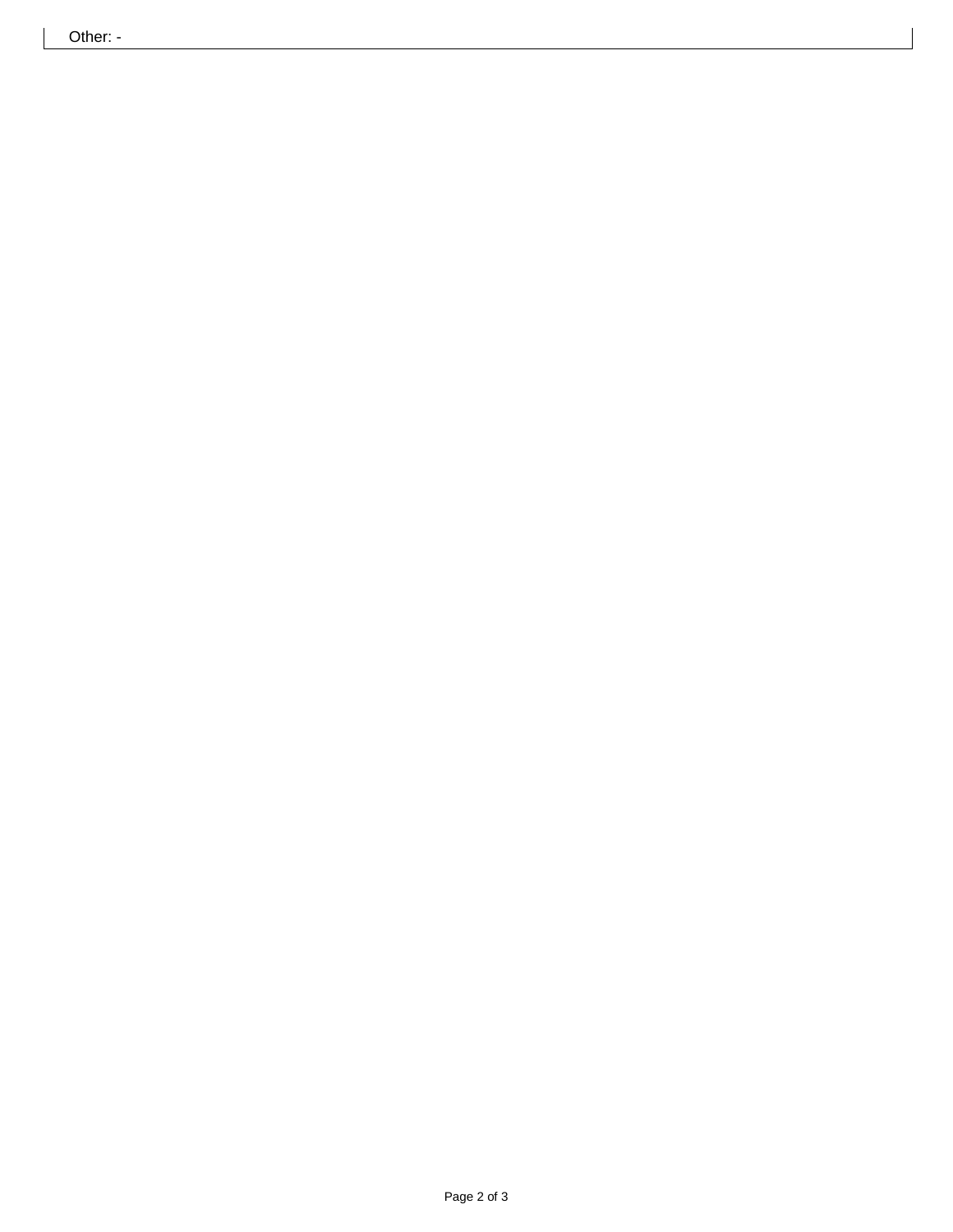Other: -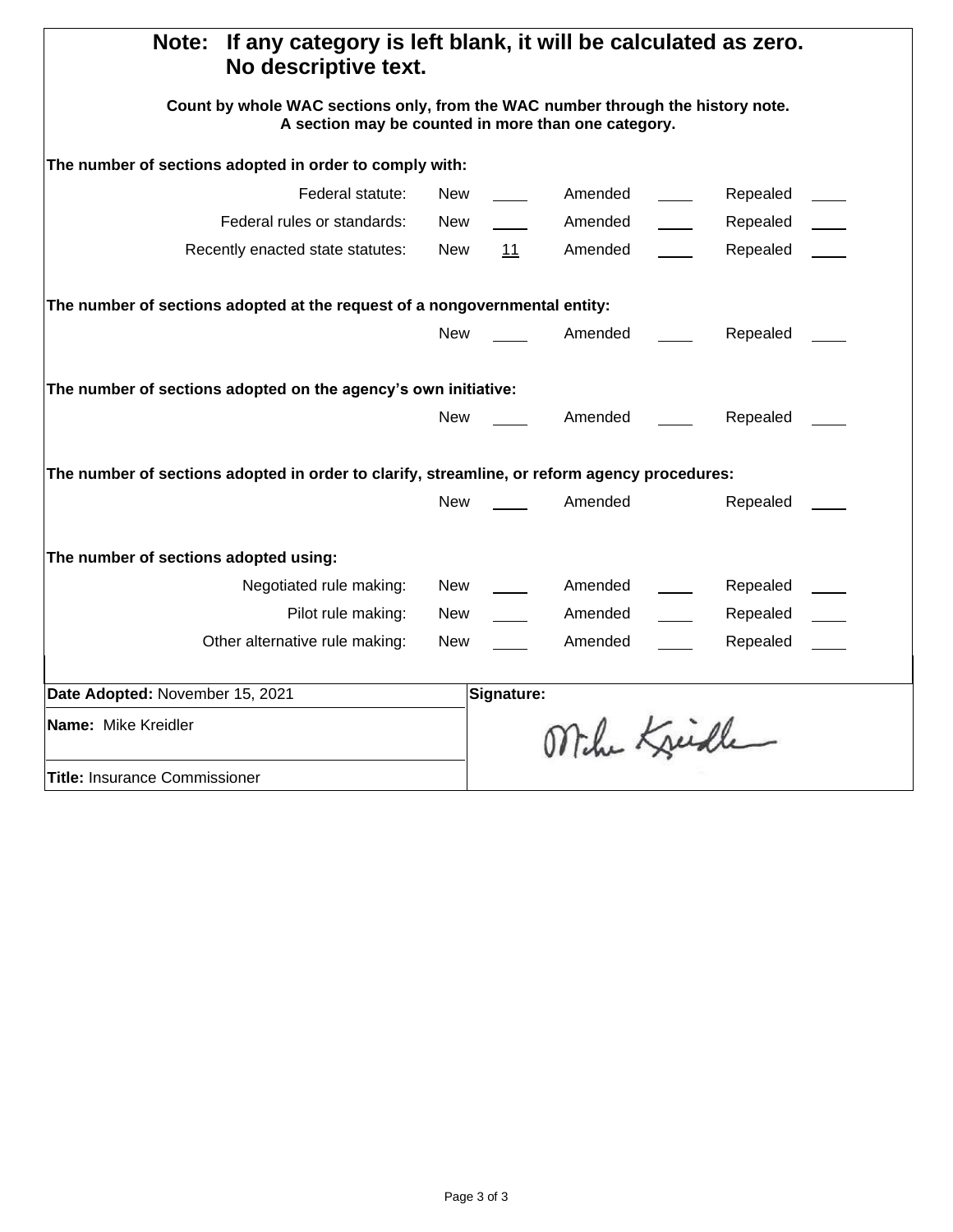| If any category is left blank, it will be calculated as zero.<br><b>Note:</b><br>No descriptive text.                                  |            |            |              |          |  |
|----------------------------------------------------------------------------------------------------------------------------------------|------------|------------|--------------|----------|--|
| Count by whole WAC sections only, from the WAC number through the history note.<br>A section may be counted in more than one category. |            |            |              |          |  |
| The number of sections adopted in order to comply with:                                                                                |            |            |              |          |  |
| Federal statute:                                                                                                                       | New        |            | Amended      | Repealed |  |
| Federal rules or standards:                                                                                                            | New        |            | Amended      | Repealed |  |
| Recently enacted state statutes:                                                                                                       | New        | 11         | Amended      | Repealed |  |
| The number of sections adopted at the request of a nongovernmental entity:                                                             |            |            |              |          |  |
|                                                                                                                                        | <b>New</b> |            | Amended      | Repealed |  |
| The number of sections adopted on the agency's own initiative:                                                                         |            |            |              |          |  |
|                                                                                                                                        | <b>New</b> |            | Amended      | Repealed |  |
| The number of sections adopted in order to clarify, streamline, or reform agency procedures:                                           |            |            |              |          |  |
|                                                                                                                                        | <b>New</b> |            | Amended      | Repealed |  |
| The number of sections adopted using:                                                                                                  |            |            |              |          |  |
| Negotiated rule making:                                                                                                                | New        |            | Amended      | Repealed |  |
| Pilot rule making:                                                                                                                     | New        |            | Amended      | Repealed |  |
| Other alternative rule making:                                                                                                         | New        |            | Amended      | Repealed |  |
| Date Adopted: November 15, 2021                                                                                                        |            | Signature: |              |          |  |
| Name: Mike Kreidler                                                                                                                    |            |            | Mihe Kreiche |          |  |
| <b>Title: Insurance Commissioner</b>                                                                                                   |            |            |              |          |  |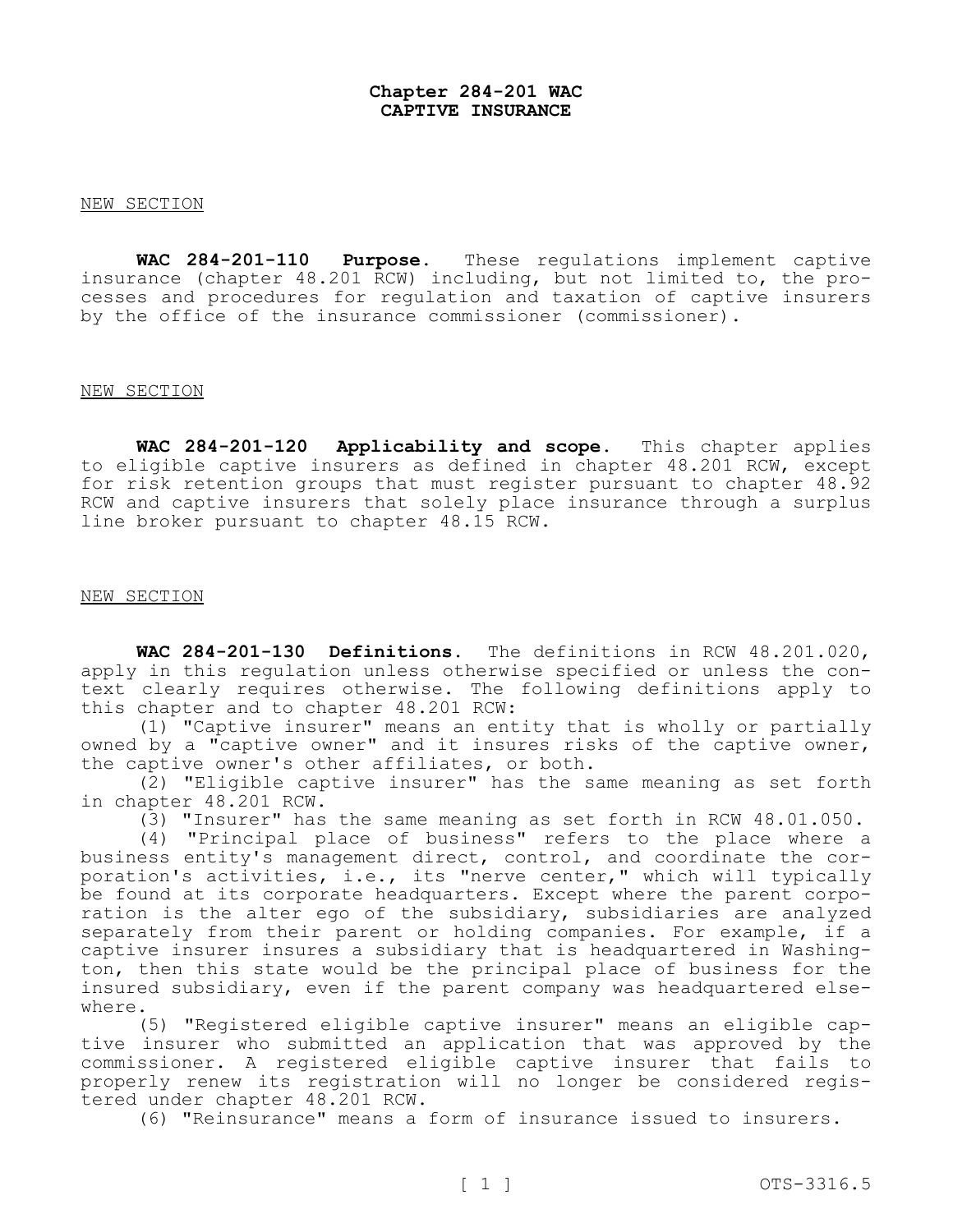#### **Chapter 284-201 WAC CAPTIVE INSURANCE**

#### NEW SECTION

**WAC 284-201-110 Purpose.** These regulations implement captive insurance (chapter 48.201 RCW) including, but not limited to, the pro-**Purpose.** These regulations implement captive cesses and procedures for regulation and taxation of captive insurers by the office of the insurance commissioner (commissioner).

#### NEW SECTION

 **WAC 284-201-120 Applicability and scope.** This chapter applies to eligible captive insurers as defined in chapter 48.201 RCW, except for risk retention groups that must register pursuant to chapter 48.92 RCW and captive insurers that solely place insurance through a surplus line broker pursuant to chapter 48.15 RCW.

#### NEW SECTION

 **WAC 284-201-130 Definitions.** The definitions in RCW 48.201.020, apply in this regulation unless otherwise specified or unless the con- text clearly requires otherwise. The following definitions apply to this chapter and to chapter 48.201 RCW:

(1) "Captive insurer" means an entity that is wholly or partially owned by a "captive owner" and it insures risks of the captive owner, the captive owner's other affiliates, or both.

(2) "Eligible captive insurer" has the same meaning as set forth in chapter 48.201 RCW.

(3) "Insurer" has the same meaning as set forth in RCW 48.01.050.

 $(4)$  "Principal place of business" refers to the place where a business entity's management direct, control, and coordinate the corporation's activities, i.e., its "nerve center," which will typically<br>be found at its corporate headquarters. Except where the parent corporation is the alter ego of the subsidiary, subsidiaries are analyzed separately from their parent or holding companies. For example, if a captive insurer insures a subsidiary that is headquartered in Washington, then this state would be the principal place of business for the insured subsidiary, even if the parent company was headquartered elsewhere.

(5) "Registered eligible captive insurer" means an eligible captive insurer who submitted an application that was approved by the commissioner. A registered eligible captive insurer that fails to properly renew its registration will no longer be considered regis-<br>tered under chapter 48.201 RCW.

(6) "Reinsurance" means a form of insurance issued to insurers.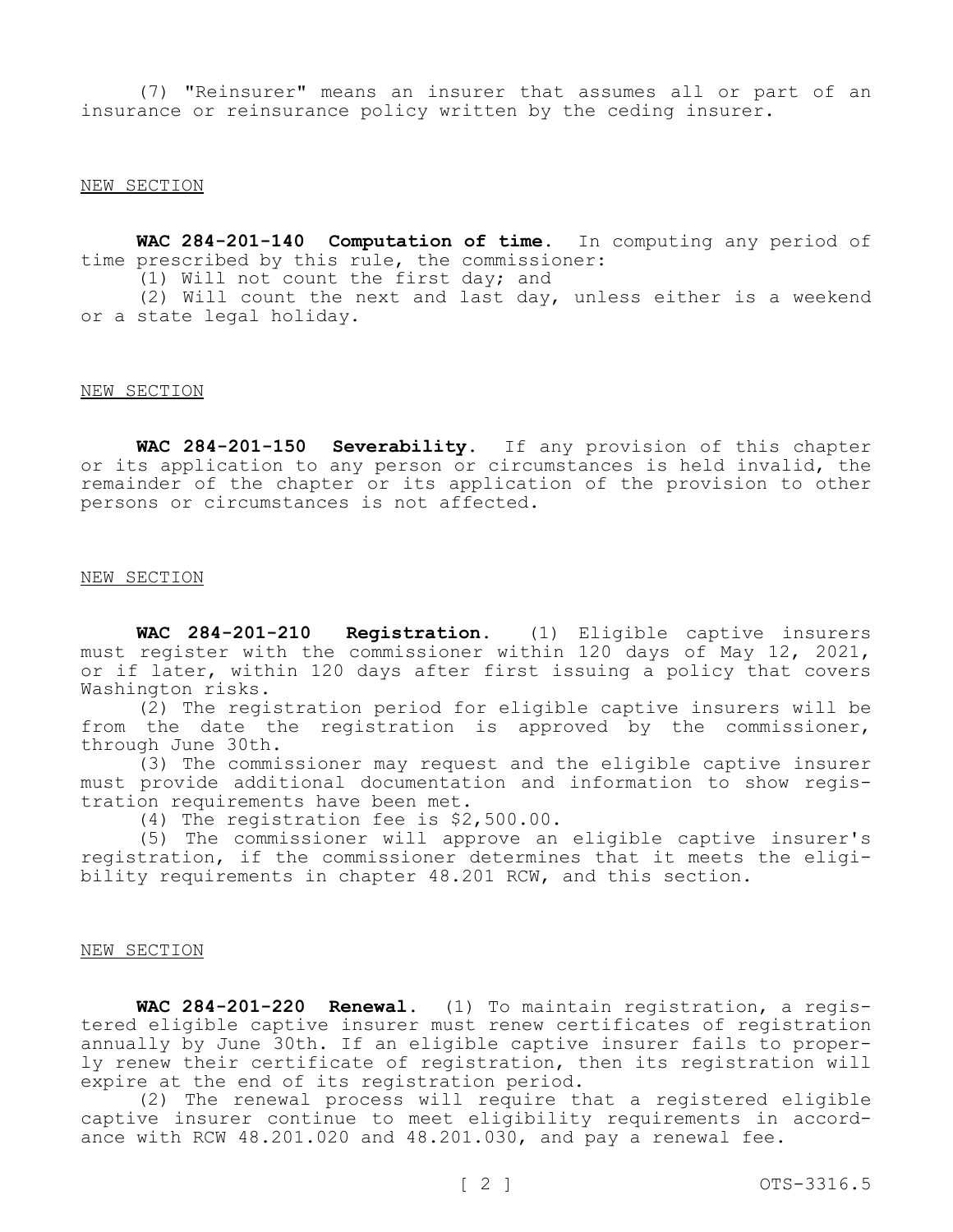(7) "Reinsurer" means an insurer that assumes all or part of an insurance or reinsurance policy written by the ceding insurer.

#### NEW SECTION

 **WAC 284-201-140 Computation of time.** In computing any period of time prescribed by this rule, the commissioner:

 $(1)$  Will not count the first day; and

(2) Will count the next and last day, unless either is a weekend or a state legal holiday.

#### NEW SECTION

 **WAC 284-201-150 Severability.** If any provision of this chapter or its application to any person or circumstances is held invalid, the remainder of the chapter or its application of the provision to other persons or circumstances is not affected.

#### NEW SECTION

WAC 284-201-210 **Registration.** (1) Eligible captive insurers must register with the commissioner within 120 days of May 12, 2021, or if later, within 120 days after first issuing a policy that covers Washington risks.

(2) The registration period for eligible captive insurers will be from the date the registration is approved by the commissioner, through June 30th.

(3) The commissioner may request and the eligible captive insurer must provide additional documentation and information to show regis-<br>tration requirements have been met.<br>(4) The registration fee is \$2,500.00.

(5) The commissioner will approve an eligible captive insurer's registration, if the commissioner determines that it meets the eligi- bility requirements in chapter 48.201 RCW, and this section.

#### NEW SECTION

 **WAC 284-201-220 Renewal.** (1) To maintain registration, a registered eligible captive insurer must renew certificates of registration annually by June 30th. If an eligible captive insurer fails to properly renew their certificate of registration, then its registration will expire at the end of its registration period.

(2) The renewal process will require that a registered eligible captive insurer continue to meet eligibility requirements in accord-<br>ance with RCW 48.201.020 and 48.201.030, and pay a renewal fee.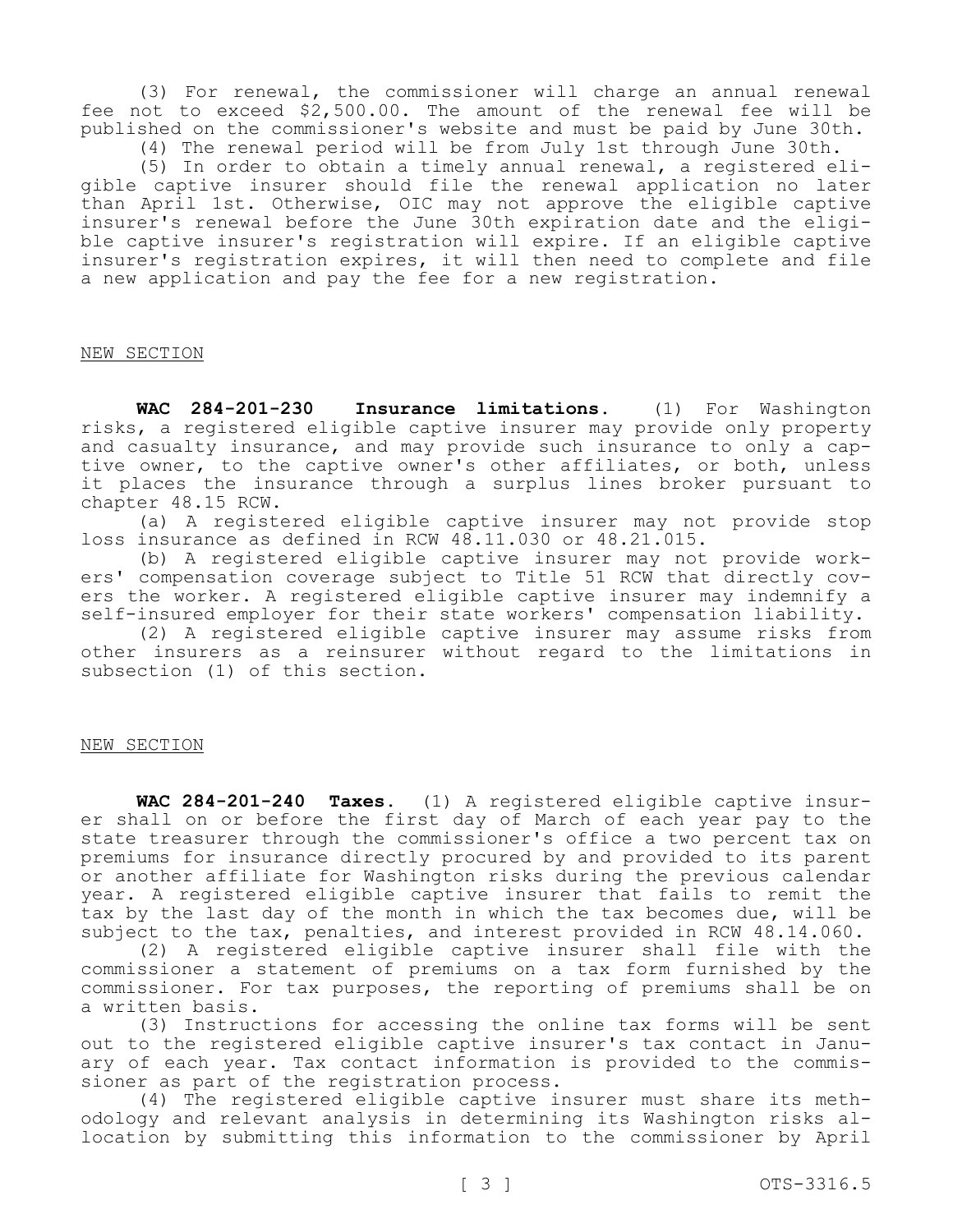(3) For renewal, the commissioner will charge an annual renewal fee not to exceed \$[2,500.00](https://2,500.00). The amount of the renewal fee will be published on the commissioner's website and must be paid by June 30th.

(4) The renewal period will be from July 1st through June 30th.<br>(5) In order to obtain a timely annual renewal, a registered eliqible captive insurer should file the renewal application no later than April 1st. Otherwise, OIC may not approve the eligible captive insurer's renewal before the June 30th expiration date and the eligi-<br>ble captive insurer's registration will expire. If an eligible captive insurer's registration expires, it will then need to complete and file a new application and pay the fee for a new registration.

#### NEW SECTION

WAC 284-201-230 **Insurance limitations.** (1) For Washington risks, a registered eligible captive insurer may provide only property<br>and casualty insurance, and may provide such insurance to only a captive owner, to the captive owner's other affiliates, or both, unless it places the insurance through a surplus lines broker pursuant to chapter 48.15 RCW.

(a) A registered eligible captive insurer may not provide stop loss insurance as defined in RCW 48.11.030 or 48.21.015.<br>(b) A reqistered eligible captive insurer may not provide work-

ers' compensation coverage subject to Title 51 RCW that directly cov-<br>ers the worker. A registered eligible captive insurer may indemnify a self-insured employer for their state workers' compensation liability.

(2) A registered eligible captive insurer may assume risks from other insurers as a reinsurer without regard to the limitations in subsection (1) of this section.

#### NEW SECTION

**WAC 284-201-240 Taxes.** (1) A registered eligible captive insurer shall on or before the first day of March of each year pay to the state treasurer through the commissioner's office a two percent tax on premiums for insurance directly procured by and provided to its parent or another affiliate for Washington risks during the previous calendar year. A registered eligible captive insurer that fails to remit the tax by the last day of the month in which the tax becomes due, will be subject to the tax, penalties, and interest provided in RCW 48.14.060.

(2) A registered eligible captive insurer shall file with the commissioner a statement of premiums on a tax form furnished by the commissioner. For tax purposes, the reporting of premiums shall be on a written basis.

(3) Instructions for accessing the online tax forms will be sent out to the registered eligible captive insurer's tax contact in January of each year. Tax contact information is provided to the commissioner as part of the registration process.<br>(4) The registered eligible captive insurer must share its meth-

odology and relevant analysis in determining its Washington risks al-<br>location by submitting this information to the commissioner by April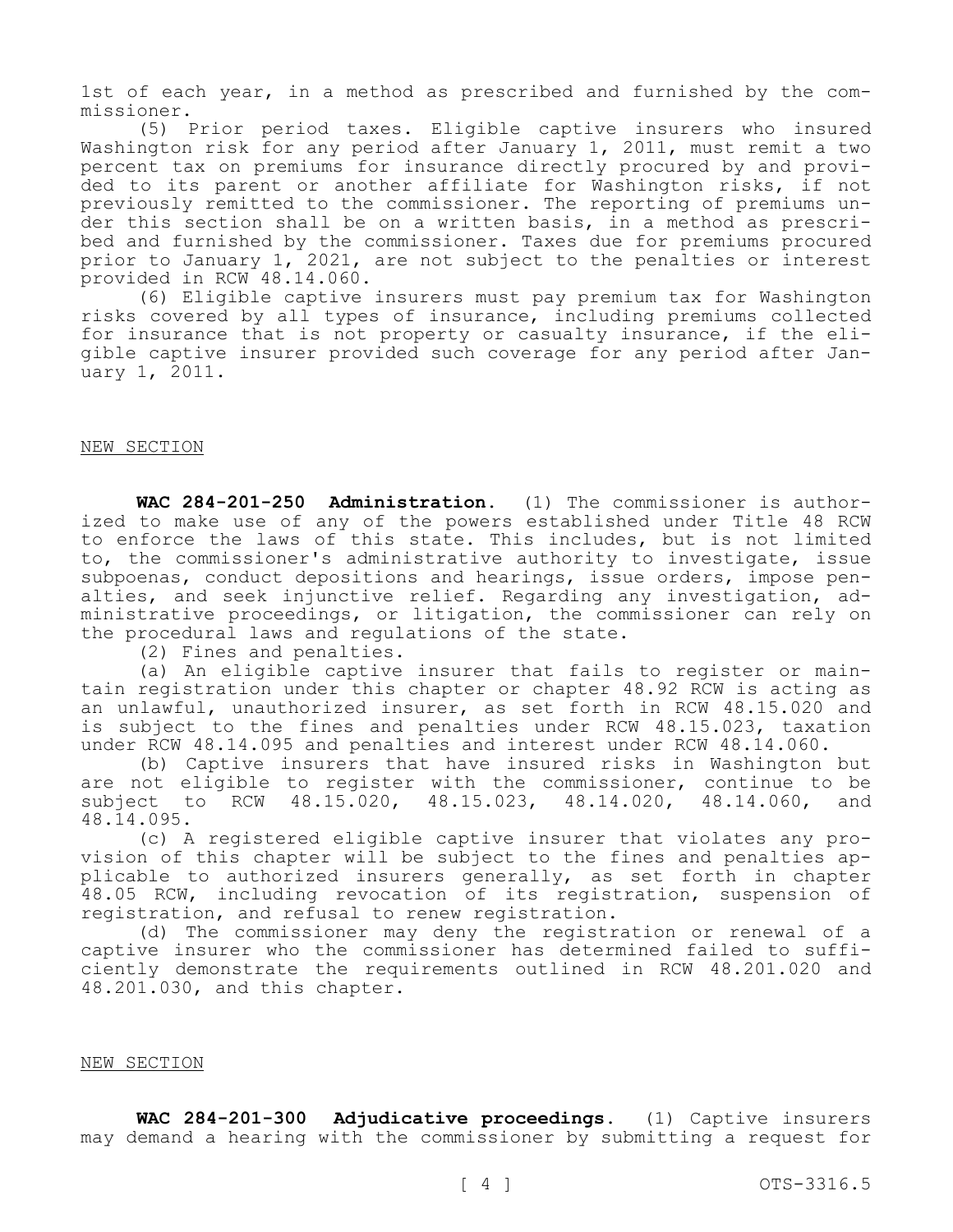1st of each year, in a method as prescribed and furnished by the com- missioner.

(5) Prior period taxes. Eligible captive insurers who insured Washington risk for any period after January 1, 2011, must remit a two percent tax on premiums for insurance directly procured by and provi-<br>ded to its parent or another affiliate for Washington risks, if not<br>previously remitted to the commissioner. The reporting of premiums under this section shall be on a written basis, in a method as prescri-<br>bed and furnished by the commissioner. Taxes due for premiums procured prior to January 1, 2021, are not subject to the penalties or interest provided in RCW 48.14.060.

(6) Eligible captive insurers must pay premium tax for Washington risks covered by all types of insurance, including premiums collected<br>for insurance that is not property or casualty insurance, if the eligible captive insurer provided such coverage for any period after Jan-<br>uary 1, 2011.

#### NEW SECTION

**WAC 284-201-250 Administration.** (1) The commissioner is authorized to make use of any of the powers established under Title 48 RCW to enforce the laws of this state. This includes, but is not limited to, the commissioner's administrative authority to investigate, issue<br>subpoenas, conduct depositions and hearings, issue orders, impose penalties, and seek injunctive relief. Regarding any investigation, ad- ministrative proceedings, or litigation, the commissioner can rely on the procedural laws and regulations of the state.

(2) Fines and penalties.<br>(a) An eligible captive insurer that fails to register or maintain registration under this chapter or chapter 48.92 RCW is acting as an unlawful, unauthorized insurer, as set forth in RCW 48.15.020 and is subject to the fines and penalties under RCW 48.15.023, taxation under RCW 48.14.095 and penalties and interest under RCW 48.14.060.

(b) Captive insurers that have insured risks in Washington but are not eligible to register with the commissioner, continue to be subject to RCW 48.15.020, 48.15.023, 48.14.020, 48.14.060, and

48.14.095.<br>(c) A registered eligible captive insurer that violates any provision of this chapter will be subject to the fines and penalties ap-<br>plicable to authorized insurers generally, as set forth in chapter 48.05 RCW, including revocation of its registration, suspension of registration, and refusal to renew registration.

(d) The commissioner may deny the registration or renewal of a captive insurer who the commissioner has determined failed to sufficiently demonstrate the requirements outlined in RCW 48.201.020 and 48.201.030, and this chapter.

#### NEW SECTION

 **WAC 284-201-300 Adjudicative proceedings.** (1) Captive insurers may demand a hearing with the commissioner by submitting a request for